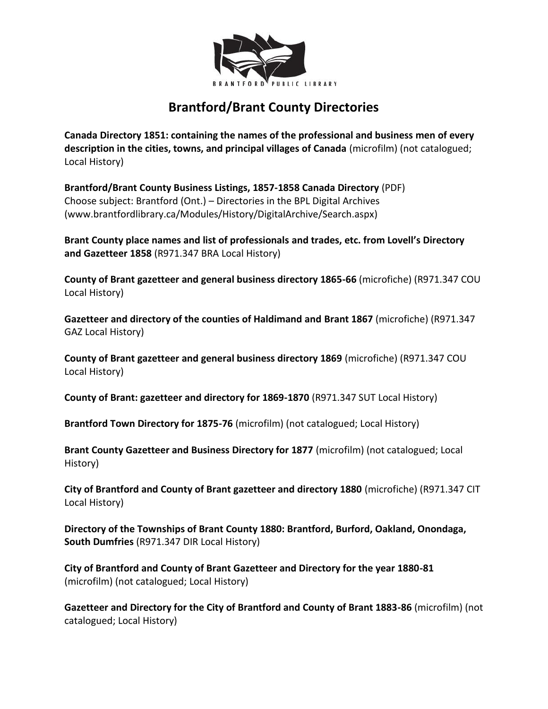

## **Brantford/Brant County Directories**

**Canada Directory 1851: containing the names of the professional and business men of every description in the cities, towns, and principal villages of Canada** (microfilm) (not catalogued; Local History)

**Brantford/Brant County Business Listings, 1857-1858 Canada Directory** (PDF) Choose subject: Brantford (Ont.) – Directories in the BPL Digital Archives (www.brantfordlibrary.ca/Modules/History/DigitalArchive/Search.aspx)

**Brant County place names and list of professionals and trades, etc. from Lovell's Directory and Gazetteer 1858** (R971.347 BRA Local History)

**County of Brant gazetteer and general business directory 1865-66** (microfiche) (R971.347 COU Local History)

**Gazetteer and directory of the counties of Haldimand and Brant 1867** (microfiche) (R971.347 GAZ Local History)

**County of Brant gazetteer and general business directory 1869** (microfiche) (R971.347 COU Local History)

**County of Brant: gazetteer and directory for 1869-1870** (R971.347 SUT Local History)

**Brantford Town Directory for 1875-76** (microfilm) (not catalogued; Local History)

**Brant County Gazetteer and Business Directory for 1877** (microfilm) (not catalogued; Local History)

**City of Brantford and County of Brant gazetteer and directory 1880** (microfiche) (R971.347 CIT Local History)

**Directory of the Townships of Brant County 1880: Brantford, Burford, Oakland, Onondaga, South Dumfries** (R971.347 DIR Local History)

**City of Brantford and County of Brant Gazetteer and Directory for the year 1880-81** (microfilm) (not catalogued; Local History)

**Gazetteer and Directory for the City of Brantford and County of Brant 1883-86** (microfilm) (not catalogued; Local History)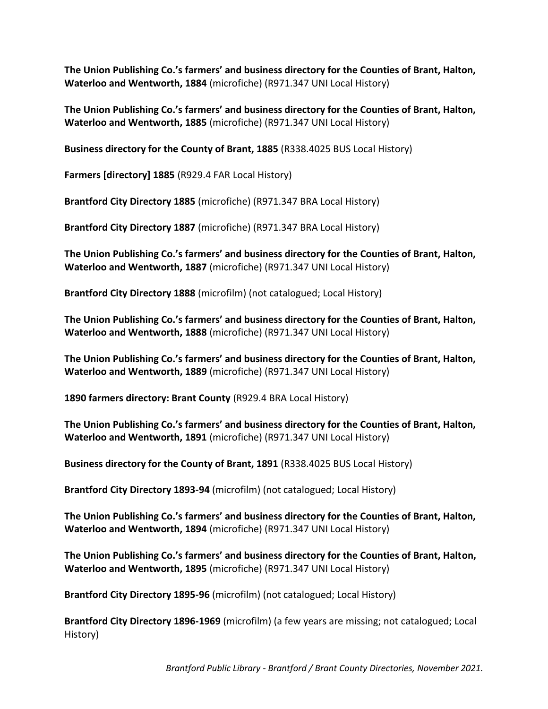**The Union Publishing Co.'s farmers' and business directory for the Counties of Brant, Halton, Waterloo and Wentworth, 1884** (microfiche) (R971.347 UNI Local History)

**The Union Publishing Co.'s farmers' and business directory for the Counties of Brant, Halton, Waterloo and Wentworth, 1885** (microfiche) (R971.347 UNI Local History)

**Business directory for the County of Brant, 1885** (R338.4025 BUS Local History)

**Farmers [directory] 1885** (R929.4 FAR Local History)

**Brantford City Directory 1885** (microfiche) (R971.347 BRA Local History)

**Brantford City Directory 1887** (microfiche) (R971.347 BRA Local History)

**The Union Publishing Co.'s farmers' and business directory for the Counties of Brant, Halton, Waterloo and Wentworth, 1887** (microfiche) (R971.347 UNI Local History)

**Brantford City Directory 1888** (microfilm) (not catalogued; Local History)

**The Union Publishing Co.'s farmers' and business directory for the Counties of Brant, Halton, Waterloo and Wentworth, 1888** (microfiche) (R971.347 UNI Local History)

**The Union Publishing Co.'s farmers' and business directory for the Counties of Brant, Halton, Waterloo and Wentworth, 1889** (microfiche) (R971.347 UNI Local History)

**1890 farmers directory: Brant County** (R929.4 BRA Local History)

**The Union Publishing Co.'s farmers' and business directory for the Counties of Brant, Halton, Waterloo and Wentworth, 1891** (microfiche) (R971.347 UNI Local History)

**Business directory for the County of Brant, 1891** (R338.4025 BUS Local History)

**Brantford City Directory 1893-94** (microfilm) (not catalogued; Local History)

**The Union Publishing Co.'s farmers' and business directory for the Counties of Brant, Halton, Waterloo and Wentworth, 1894** (microfiche) (R971.347 UNI Local History)

**The Union Publishing Co.'s farmers' and business directory for the Counties of Brant, Halton, Waterloo and Wentworth, 1895** (microfiche) (R971.347 UNI Local History)

**Brantford City Directory 1895-96** (microfilm) (not catalogued; Local History)

**Brantford City Directory 1896-1969** (microfilm) (a few years are missing; not catalogued; Local History)

*Brantford Public Library - Brantford / Brant County Directories, November 2021.*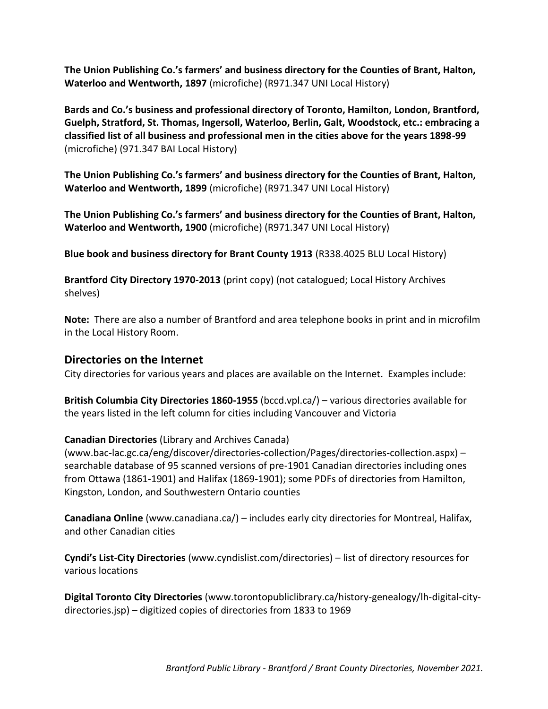**The Union Publishing Co.'s farmers' and business directory for the Counties of Brant, Halton, Waterloo and Wentworth, 1897** (microfiche) (R971.347 UNI Local History)

**Bards and Co.'s business and professional directory of Toronto, Hamilton, London, Brantford, Guelph, Stratford, St. Thomas, Ingersoll, Waterloo, Berlin, Galt, Woodstock, etc.: embracing a classified list of all business and professional men in the cities above for the years 1898-99** (microfiche) (971.347 BAI Local History)

**The Union Publishing Co.'s farmers' and business directory for the Counties of Brant, Halton, Waterloo and Wentworth, 1899** (microfiche) (R971.347 UNI Local History)

**The Union Publishing Co.'s farmers' and business directory for the Counties of Brant, Halton, Waterloo and Wentworth, 1900** (microfiche) (R971.347 UNI Local History)

**Blue book and business directory for Brant County 1913** (R338.4025 BLU Local History)

**Brantford City Directory 1970-2013** (print copy) (not catalogued; Local History Archives shelves)

**Note:** There are also a number of Brantford and area telephone books in print and in microfilm in the Local History Room.

## **Directories on the Internet**

City directories for various years and places are available on the Internet. Examples include:

**British Columbia City Directories 1860-1955** (bccd.vpl.ca/) – various directories available for the years listed in the left column for cities including Vancouver and Victoria

## **Canadian Directories** (Library and Archives Canada)

(www.bac-lac.gc.ca/eng/discover/directories-collection/Pages/directories-collection.aspx) – searchable database of 95 scanned versions of pre-1901 Canadian directories including ones from Ottawa (1861-1901) and Halifax (1869-1901); some PDFs of directories from Hamilton, Kingston, London, and Southwestern Ontario counties

**Canadiana Online** (www.canadiana.ca/) – includes early city directories for Montreal, Halifax, and other Canadian cities

**Cyndi's List-City Directories** (www.cyndislist.com/directories) – list of directory resources for various locations

**Digital Toronto City Directories** (www.torontopubliclibrary.ca/history-genealogy/lh-digital-citydirectories.jsp) – digitized copies of directories from 1833 to 1969